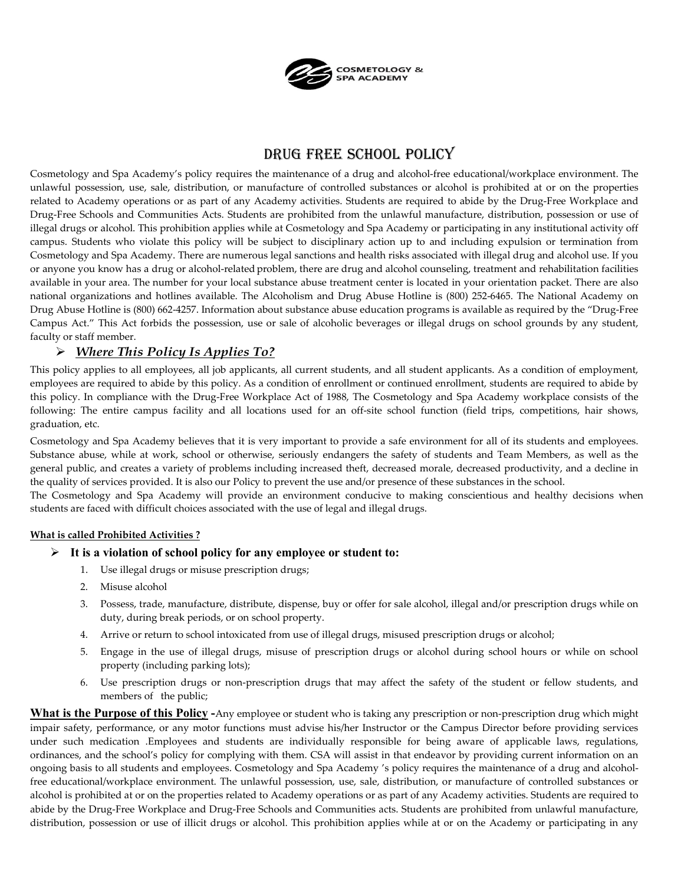

# DRUG FREE SCHOOL POLICY

Cosmetology and Spa Academy's policy requires the maintenance of a drug and alcohol-free educational/workplace environment. The unlawful possession, use, sale, distribution, or manufacture of controlled substances or alcohol is prohibited at or on the properties related to Academy operations or as part of any Academy activities. Students are required to abide by the Drug-Free Workplace and Drug-Free Schools and Communities Acts. Students are prohibited from the unlawful manufacture, distribution, possession or use of illegal drugs or alcohol. This prohibition applies while at Cosmetology and Spa Academy or participating in any institutional activity off campus. Students who violate this policy will be subject to disciplinary action up to and including expulsion or termination from Cosmetology and Spa Academy. There are numerous legal sanctions and health risks associated with illegal drug and alcohol use. If you or anyone you know has a drug or alcohol-related problem, there are drug and alcohol counseling, treatment and rehabilitation facilities available in your area. The number for your local substance abuse treatment center is located in your orientation packet. There are also national organizations and hotlines available. The Alcoholism and Drug Abuse Hotline is (800) 252-6465. The National Academy on Drug Abuse Hotline is (800) 662-4257. Information about substance abuse education programs is available as required by the "Drug-Free Campus Act." This Act forbids the possession, use or sale of alcoholic beverages or illegal drugs on school grounds by any student, faculty or staff member.

# *Where This Policy Is Applies To?*

This policy applies to all employees, all job applicants, all current students, and all student applicants. As a condition of employment, employees are required to abide by this policy. As a condition of enrollment or continued enrollment, students are required to abide by this policy. In compliance with the Drug-Free Workplace Act of 1988, The Cosmetology and Spa Academy workplace consists of the following: The entire campus facility and all locations used for an off-site school function (field trips, competitions, hair shows, graduation, etc.

Cosmetology and Spa Academy believes that it is very important to provide a safe environment for all of its students and employees. Substance abuse, while at work, school or otherwise, seriously endangers the safety of students and Team Members, as well as the general public, and creates a variety of problems including increased theft, decreased morale, decreased productivity, and a decline in the quality of services provided. It is also our Policy to prevent the use and/or presence of these substances in the school.

The Cosmetology and Spa Academy will provide an environment conducive to making conscientious and healthy decisions when students are faced with difficult choices associated with the use of legal and illegal drugs.

## **What is called Prohibited Activities ?**

## **It is a violation of school policy for any employee or student to:**

- 1. Use illegal drugs or misuse prescription drugs;
- 2. Misuse alcohol
- 3. Possess, trade, manufacture, distribute, dispense, buy or offer for sale alcohol, illegal and/or prescription drugs while on duty, during break periods, or on school property.
- 4. Arrive or return to school intoxicated from use of illegal drugs, misused prescription drugs or alcohol;
- 5. Engage in the use of illegal drugs, misuse of prescription drugs or alcohol during school hours or while on school property (including parking lots);
- 6. Use prescription drugs or non-prescription drugs that may affect the safety of the student or fellow students, and members of the public;

**What is the Purpose of this Policy -**Any employee or student who is taking any prescription or non-prescription drug which might impair safety, performance, or any motor functions must advise his/her Instructor or the Campus Director before providing services under such medication .Employees and students are individually responsible for being aware of applicable laws, regulations, ordinances, and the school's policy for complying with them. CSA will assist in that endeavor by providing current information on an ongoing basis to all students and employees. Cosmetology and Spa Academy 's policy requires the maintenance of a drug and alcoholfree educational/workplace environment. The unlawful possession, use, sale, distribution, or manufacture of controlled substances or alcohol is prohibited at or on the properties related to Academy operations or as part of any Academy activities. Students are required to abide by the Drug-Free Workplace and Drug-Free Schools and Communities acts. Students are prohibited from unlawful manufacture, distribution, possession or use of illicit drugs or alcohol. This prohibition applies while at or on the Academy or participating in any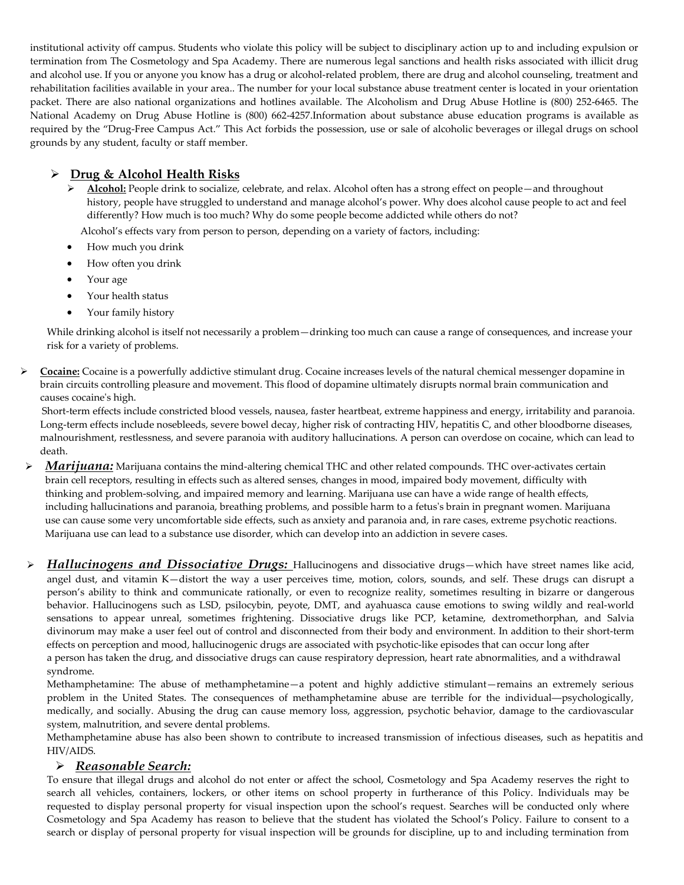institutional activity off campus. Students who violate this policy will be subject to disciplinary action up to and including expulsion or termination from The Cosmetology and Spa Academy. There are numerous legal sanctions and health risks associated with illicit drug and alcohol use. If you or anyone you know has a drug or alcohol-related problem, there are drug and alcohol counseling, treatment and rehabilitation facilities available in your area.. The number for your local substance abuse treatment center is located in your orientation packet. There are also national organizations and hotlines available. The Alcoholism and Drug Abuse Hotline is (800) 252-6465. The National Academy on Drug Abuse Hotline is (800) 662-4257.Information about substance abuse education programs is available as required by the "Drug-Free Campus Act." This Act forbids the possession, use or sale of alcoholic beverages or illegal drugs on school grounds by any student, faculty or staff member.

# **Drug & Alcohol Health Risks**

**►** Alcohol: People drink to socialize, celebrate, and relax. Alcohol often has a strong effect on people—and throughout history, people have struggled to understand and manage alcohol's power. Why does alcohol cause people to act and feel differently? How much is too much? Why do some people become addicted while others do not?

Alcohol's effects vary from person to person, depending on a variety of factors, including:

- How much you drink
- How often you drink
- Your age
- Your health status
- Your family history

While drinking alcohol is itself not necessarily a problem—drinking too much can cause a range of consequences, and increase your risk for a variety of problems.

 **Cocaine:** Cocaine is a powerfully addictive stimulant drug. Cocaine increases levels of the natural chemical messenger dopamine in brain circuits controlling pleasure and movement. This flood of dopamine ultimately disrupts normal brain communication and causes cocaine's high.

Short-term effects include constricted blood vessels, nausea, faster heartbeat, extreme happiness and energy, irritability and paranoia. Long-term effects include nosebleeds, severe bowel decay, higher risk of contracting HIV, hepatitis C, and other bloodborne diseases, malnourishment, restlessness, and severe paranoia with auditory hallucinations. A person can overdose on cocaine, which can lead to death.

- *Marijuana:* Marijuana contains the mind-altering chemical THC and other related compounds. THC over-activates certain brain cell receptors, resulting in effects such as altered senses, changes in mood, impaired body movement, difficulty with thinking and problem-solving, and impaired memory and learning. Marijuana use can have a wide range of health effects, including hallucinations and paranoia, breathing problems, and possible harm to a fetus's brain in pregnant women. Marijuana use can cause some very uncomfortable side effects, such as anxiety and paranoia and, in rare cases, extreme psychotic reactions. Marijuana use can lead to a substance use disorder, which can develop into an addiction in severe cases.
- *Hallucinogens and Dissociative Drugs:* Hallucinogens and dissociative drugs—which have street names like acid, angel dust, and vitamin K—distort the way a user perceives time, motion, colors, sounds, and self. These drugs can disrupt a person's ability to think and communicate rationally, or even to recognize reality, sometimes resulting in bizarre or dangerous behavior. Hallucinogens such as LSD, psilocybin, peyote, DMT, and ayahuasca cause emotions to swing wildly and real-world sensations to appear unreal, sometimes frightening. Dissociative drugs like PCP, ketamine, dextromethorphan, and Salvia divinorum may make a user feel out of control and disconnected from their body and environment. In addition to their short-term effects on perception and mood, hallucinogenic drugs are associated with psychotic-like episodes that can occur long after a person has taken the drug, and dissociative drugs can cause respiratory depression, heart rate abnormalities, and a withdrawal syndrome.

Methamphetamine: The abuse of methamphetamine—a potent and highly addictive stimulant—remains an extremely serious problem in the United States. The consequences of methamphetamine abuse are terrible for the individual––psychologically, medically, and socially. Abusing the drug can cause memory loss, aggression, psychotic behavior, damage to the cardiovascular system, malnutrition, and severe dental problems.

Methamphetamine abuse has also been shown to contribute to increased transmission of infectious diseases, such as hepatitis and HIV/AIDS.

# *Reasonable Search:*

To ensure that illegal drugs and alcohol do not enter or affect the school, Cosmetology and Spa Academy reserves the right to search all vehicles, containers, lockers, or other items on school property in furtherance of this Policy. Individuals may be requested to display personal property for visual inspection upon the school's request. Searches will be conducted only where Cosmetology and Spa Academy has reason to believe that the student has violated the School's Policy. Failure to consent to a search or display of personal property for visual inspection will be grounds for discipline, up to and including termination from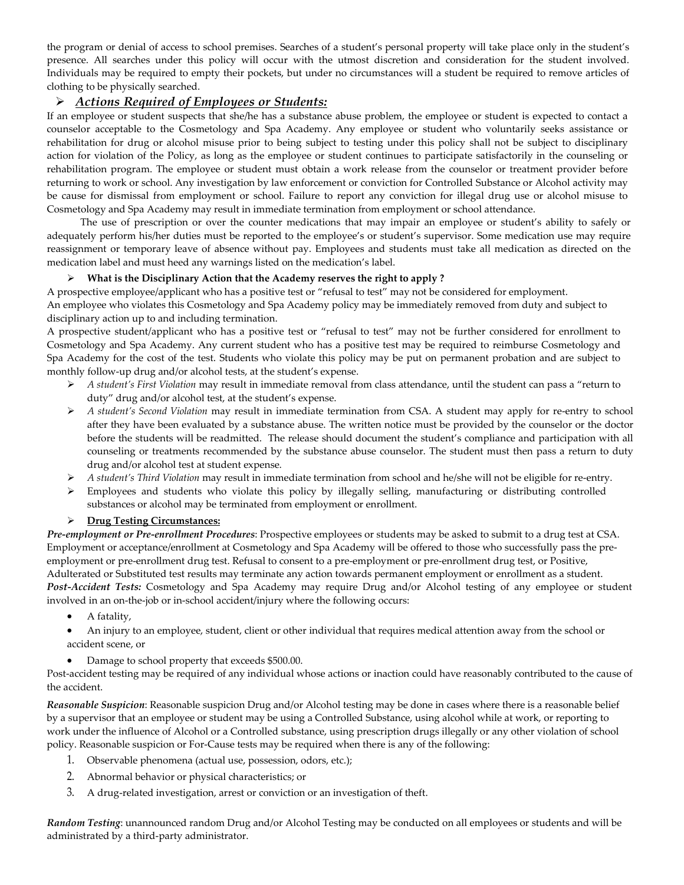the program or denial of access to school premises. Searches of a student's personal property will take place only in the student's presence. All searches under this policy will occur with the utmost discretion and consideration for the student involved. Individuals may be required to empty their pockets, but under no circumstances will a student be required to remove articles of clothing to be physically searched.

# *Actions Required of Employees or Students:*

If an employee or student suspects that she/he has a substance abuse problem, the employee or student is expected to contact a counselor acceptable to the Cosmetology and Spa Academy. Any employee or student who voluntarily seeks assistance or rehabilitation for drug or alcohol misuse prior to being subject to testing under this policy shall not be subject to disciplinary action for violation of the Policy, as long as the employee or student continues to participate satisfactorily in the counseling or rehabilitation program. The employee or student must obtain a work release from the counselor or treatment provider before returning to work or school. Any investigation by law enforcement or conviction for Controlled Substance or Alcohol activity may be cause for dismissal from employment or school. Failure to report any conviction for illegal drug use or alcohol misuse to Cosmetology and Spa Academy may result in immediate termination from employment or school attendance.

The use of prescription or over the counter medications that may impair an employee or student's ability to safely or adequately perform his/her duties must be reported to the employee's or student's supervisor. Some medication use may require reassignment or temporary leave of absence without pay. Employees and students must take all medication as directed on the medication label and must heed any warnings listed on the medication's label.

## **What is the Disciplinary Action that the Academy reserves the right to apply ?**

A prospective employee/applicant who has a positive test or "refusal to test" may not be considered for employment. An employee who violates this Cosmetology and Spa Academy policy may be immediately removed from duty and subject to disciplinary action up to and including termination.

A prospective student/applicant who has a positive test or "refusal to test" may not be further considered for enrollment to Cosmetology and Spa Academy. Any current student who has a positive test may be required to reimburse Cosmetology and Spa Academy for the cost of the test. Students who violate this policy may be put on permanent probation and are subject to monthly follow-up drug and/or alcohol tests, at the student's expense.

- *A student's First Violation* may result in immediate removal from class attendance, until the student can pass a "return to duty" drug and/or alcohol test, at the student's expense.
- *A student's Second Violation* may result in immediate termination from CSA. A student may apply for re-entry to school after they have been evaluated by a substance abuse. The written notice must be provided by the counselor or the doctor before the students will be readmitted. The release should document the student's compliance and participation with all counseling or treatments recommended by the substance abuse counselor. The student must then pass a return to duty drug and/or alcohol test at student expense.
- *A student's Third Violation* may result in immediate termination from school and he/she will not be eligible for re-entry.
- Employees and students who violate this policy by illegally selling, manufacturing or distributing controlled substances or alcohol may be terminated from employment or enrollment.

## **Drug Testing Circumstances:**

*Pre-employment or Pre-enrollment Procedures*: Prospective employees or students may be asked to submit to a drug test at CSA. Employment or acceptance/enrollment at Cosmetology and Spa Academy will be offered to those who successfully pass the preemployment or pre-enrollment drug test. Refusal to consent to a pre-employment or pre-enrollment drug test, or Positive, Adulterated or Substituted test results may terminate any action towards permanent employment or enrollment as a student. *Post-Accident Tests:* Cosmetology and Spa Academy may require Drug and/or Alcohol testing of any employee or student involved in an on-the-job or in-school accident/injury where the following occurs:

- A fatality,
- An injury to an employee, student, client or other individual that requires medical attention away from the school or accident scene, or
- Damage to school property that exceeds \$500.00.

Post-accident testing may be required of any individual whose actions or inaction could have reasonably contributed to the cause of the accident.

*Reasonable Suspicion*: Reasonable suspicion Drug and/or Alcohol testing may be done in cases where there is a reasonable belief by a supervisor that an employee or student may be using a Controlled Substance, using alcohol while at work, or reporting to work under the influence of Alcohol or a Controlled substance, using prescription drugs illegally or any other violation of school policy. Reasonable suspicion or For-Cause tests may be required when there is any of the following:

- 1. Observable phenomena (actual use, possession, odors, etc.);
- 2. Abnormal behavior or physical characteristics; or
- 3. A drug-related investigation, arrest or conviction or an investigation of theft.

*Random Testing*: unannounced random Drug and/or Alcohol Testing may be conducted on all employees or students and will be administrated by a third-party administrator.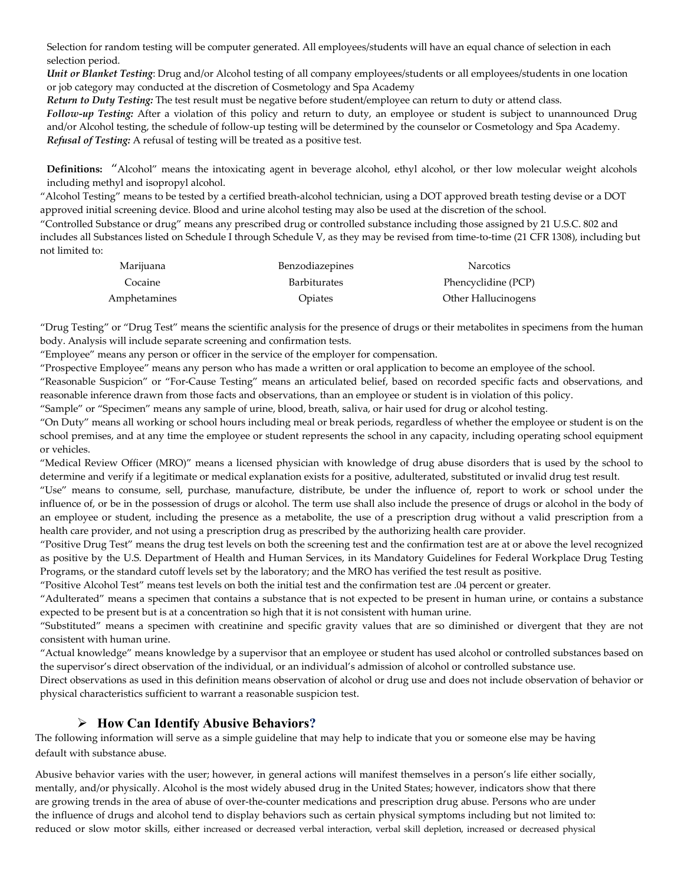Selection for random testing will be computer generated. All employees/students will have an equal chance of selection in each selection period.

*Unit or Blanket Testing*: Drug and/or Alcohol testing of all company employees/students or all employees/students in one location or job category may conducted at the discretion of Cosmetology and Spa Academy

*Return to Duty Testing:* The test result must be negative before student/employee can return to duty or attend class.

*Follow-up Testing:* After a violation of this policy and return to duty, an employee or student is subject to unannounced Drug and/or Alcohol testing, the schedule of follow-up testing will be determined by the counselor or Cosmetology and Spa Academy. *Refusal of Testing:* A refusal of testing will be treated as a positive test.

**Definitions:** "Alcohol" means the intoxicating agent in beverage alcohol, ethyl alcohol, or ther low molecular weight alcohols including methyl and isopropyl alcohol.

"Alcohol Testing" means to be tested by a certified breath-alcohol technician, using a DOT approved breath testing devise or a DOT approved initial screening device. Blood and urine alcohol testing may also be used at the discretion of the school.

"Controlled Substance or drug" means any prescribed drug or controlled substance including those assigned by 21 U.S.C. 802 and includes all Substances listed on Schedule I through Schedule V, as they may be revised from time-to-time (21 CFR 1308), including but not limited to:

| Marijuana    | Benzodiazepines     | <b>Narcotics</b>    |
|--------------|---------------------|---------------------|
| Cocaine      | <b>Barbiturates</b> | Phencyclidine (PCP) |
| Amphetamines | Opiates             | Other Hallucinogens |

"Drug Testing" or "Drug Test" means the scientific analysis for the presence of drugs or their metabolites in specimens from the human body. Analysis will include separate screening and confirmation tests.

"Employee" means any person or officer in the service of the employer for compensation.

"Prospective Employee" means any person who has made a written or oral application to become an employee of the school.

"Reasonable Suspicion" or "For-Cause Testing" means an articulated belief, based on recorded specific facts and observations, and reasonable inference drawn from those facts and observations, than an employee or student is in violation of this policy.

"Sample" or "Specimen" means any sample of urine, blood, breath, saliva, or hair used for drug or alcohol testing.

"On Duty" means all working or school hours including meal or break periods, regardless of whether the employee or student is on the school premises, and at any time the employee or student represents the school in any capacity, including operating school equipment or vehicles.

"Medical Review Officer (MRO)" means a licensed physician with knowledge of drug abuse disorders that is used by the school to determine and verify if a legitimate or medical explanation exists for a positive, adulterated, substituted or invalid drug test result.

"Use" means to consume, sell, purchase, manufacture, distribute, be under the influence of, report to work or school under the influence of, or be in the possession of drugs or alcohol. The term use shall also include the presence of drugs or alcohol in the body of an employee or student, including the presence as a metabolite, the use of a prescription drug without a valid prescription from a health care provider, and not using a prescription drug as prescribed by the authorizing health care provider.

"Positive Drug Test" means the drug test levels on both the screening test and the confirmation test are at or above the level recognized as positive by the U.S. Department of Health and Human Services, in its Mandatory Guidelines for Federal Workplace Drug Testing Programs, or the standard cutoff levels set by the laboratory; and the MRO has verified the test result as positive.

"Positive Alcohol Test" means test levels on both the initial test and the confirmation test are .04 percent or greater.

"Adulterated" means a specimen that contains a substance that is not expected to be present in human urine, or contains a substance expected to be present but is at a concentration so high that it is not consistent with human urine.

"Substituted" means a specimen with creatinine and specific gravity values that are so diminished or divergent that they are not consistent with human urine.

"Actual knowledge" means knowledge by a supervisor that an employee or student has used alcohol or controlled substances based on the supervisor's direct observation of the individual, or an individual's admission of alcohol or controlled substance use.

Direct observations as used in this definition means observation of alcohol or drug use and does not include observation of behavior or physical characteristics sufficient to warrant a reasonable suspicion test.

# **How Can Identify Abusive Behaviors?**

The following information will serve as a simple guideline that may help to indicate that you or someone else may be having default with substance abuse.

Abusive behavior varies with the user; however, in general actions will manifest themselves in a person's life either socially, mentally, and/or physically. Alcohol is the most widely abused drug in the United States; however, indicators show that there are growing trends in the area of abuse of over-the-counter medications and prescription drug abuse. Persons who are under the influence of drugs and alcohol tend to display behaviors such as certain physical symptoms including but not limited to: reduced or slow motor skills, either increased or decreased verbal interaction, verbal skill depletion, increased or decreased physical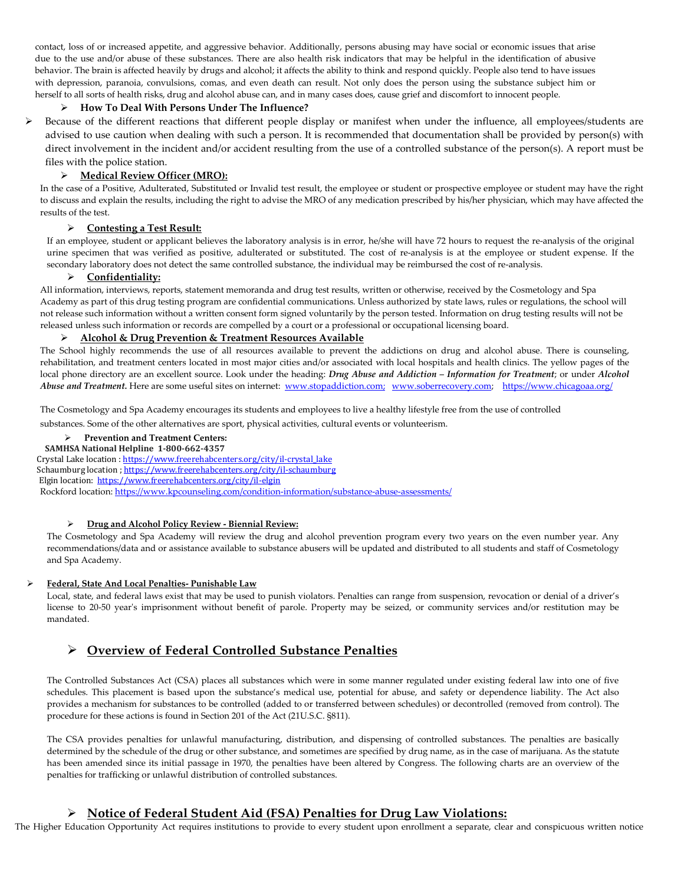contact, loss of or increased appetite, and aggressive behavior. Additionally, persons abusing may have social or economic issues that arise due to the use and/or abuse of these substances. There are also health risk indicators that may be helpful in the identification of abusive behavior. The brain is affected heavily by drugs and alcohol; it affects the ability to think and respond quickly. People also tend to have issues with depression, paranoia, convulsions, comas, and even death can result. Not only does the person using the substance subject him or herself to all sorts of health risks, drug and alcohol abuse can, and in many cases does, cause grief and discomfort to innocent people.

#### **How To Deal With Persons Under The Influence?**

 Because of the different reactions that different people display or manifest when under the influence, all employees/students are advised to use caution when dealing with such a person. It is recommended that documentation shall be provided by person(s) with direct involvement in the incident and/or accident resulting from the use of a controlled substance of the person(s). A report must be files with the police station.

#### **Medical Review Officer (MRO):**

In the case of a Positive, Adulterated, Substituted or Invalid test result, the employee or student or prospective employee or student may have the right to discuss and explain the results, including the right to advise the MRO of any medication prescribed by his/her physician, which may have affected the results of the test.

#### **Contesting a Test Result:**

If an employee, student or applicant believes the laboratory analysis is in error, he/she will have 72 hours to request the re-analysis of the original urine specimen that was verified as positive, adulterated or substituted. The cost of re-analysis is at the employee or student expense. If the secondary laboratory does not detect the same controlled substance, the individual may be reimbursed the cost of re-analysis.

#### **Confidentiality:**

All information, interviews, reports, statement memoranda and drug test results, written or otherwise, received by the Cosmetology and Spa Academy as part of this drug testing program are confidential communications. Unless authorized by state laws, rules or regulations, the school will not release such information without a written consent form signed voluntarily by the person tested. Information on drug testing results will not be released unless such information or records are compelled by a court or a professional or occupational licensing board.

#### **Alcohol & Drug Prevention & Treatment Resources Available**

The School highly recommends the use of all resources available to prevent the addictions on drug and alcohol abuse. There is counseling, rehabilitation, and treatment centers located in most major cities and/or associated with local hospitals and health clinics. The yellow pages of the local phone directory are an excellent source. Look under the heading: *Drug Abuse and Addiction – Information for Treatment*; or under *Alcohol Abuse and Treatment.* Here are some useful sites on internet: [www.stopaddiction.com;](http://www.stopaddiction.com;/) [www.soberrecovery.com;](http://www.soberrecovery.com/) <https://www.chicagoaa.org/>

The Cosmetology and Spa Academy encourages its students and employees to live a healthy lifestyle free from the use of controlled substances. Some of the other alternatives are sport, physical activities, cultural events or volunteerism.

#### **Prevention and Treatment Centers:**

#### **SAMHSA National Helpline 1-800-662-4357**

Crystal Lake location [: https://www.freerehabcenters.org/city/il-crystal\\_lake](https://www.freerehabcenters.org/city/il-crystal_lake) Schaumburg location [; https://www.freerehabcenters.org/city/il-schaumburg](https://www.freerehabcenters.org/city/il-schaumburg) Elgin location:<https://www.freerehabcenters.org/city/il-elgin> Rockford location[: https://www.kpcounseling.com/condition-information/substance-abuse-assessments/](https://www.kpcounseling.com/condition-information/substance-abuse-assessments/)

#### **Drug and Alcohol Policy Review - Biennial Review:**

The Cosmetology and Spa Academy will review the drug and alcohol prevention program every two years on the even number year. Any recommendations/data and or assistance available to substance abusers will be updated and distributed to all students and staff of Cosmetology and Spa Academy.

#### **Federal, State And Local Penalties- Punishable Law**

Local, state, and federal laws exist that may be used to punish violators. Penalties can range from suspension, revocation or denial of a driver's license to 20-50 year's imprisonment without benefit of parole. Property may be seized, or community services and/or restitution may be mandated.

# **Overview of Federal Controlled Substance Penalties**

The Controlled Substances Act (CSA) places all substances which were in some manner regulated under existing federal law into one of five schedules. This placement is based upon the substance's medical use, potential for abuse, and safety or dependence liability. The Act also provides a mechanism for substances to be controlled (added to or transferred between schedules) or decontrolled (removed from control). The procedure for these actions is found in Section 201 of the Act (21U.S.C. §811).

The CSA provides penalties for unlawful manufacturing, distribution, and dispensing of controlled substances. The penalties are basically determined by the schedule of the drug or other substance, and sometimes are specified by drug name, as in the case of marijuana. As the statute has been amended since its initial passage in 1970, the penalties have been altered by Congress. The following charts are an overview of the penalties for trafficking or unlawful distribution of controlled substances.

## **Notice of Federal Student Aid (FSA) Penalties for Drug Law Violations:**

The Higher Education Opportunity Act requires institutions to provide to every student upon enrollment a separate, clear and conspicuous written notice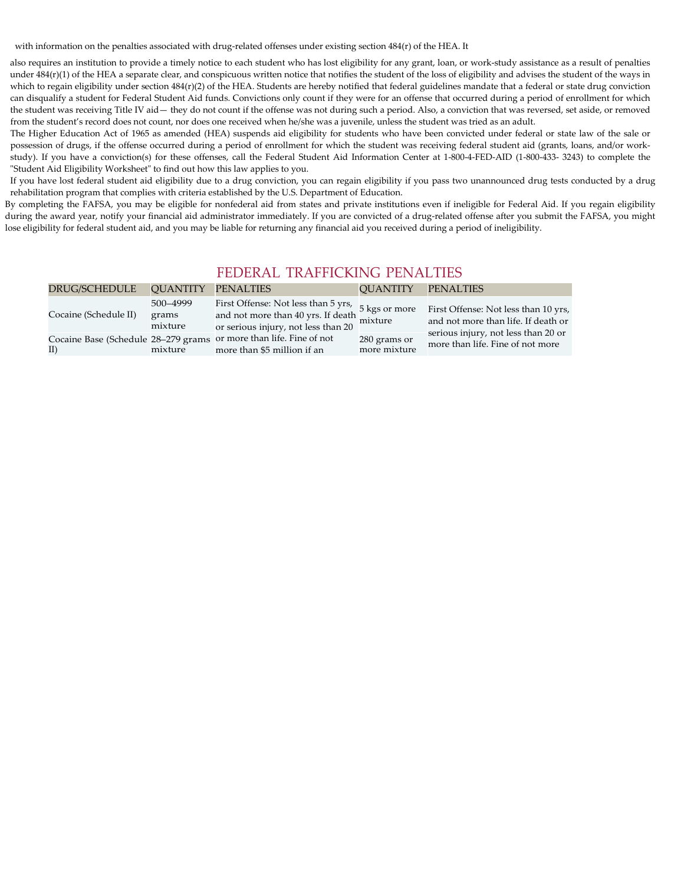with information on the penalties associated with drug-related offenses under existing section 484(r) of the HEA. It

also requires an institution to provide a timely notice to each student who has lost eligibility for any grant, loan, or work-study assistance as a result of penalties under 484(r)(1) of the HEA a separate clear, and conspicuous written notice that notifies the student of the loss of eligibility and advises the student of the ways in which to regain eligibility under section 484(r)(2) of the HEA. Students are hereby notified that federal guidelines mandate that a federal or state drug conviction can disqualify a student for Federal Student Aid funds. Convictions only count if they were for an offense that occurred during a period of enrollment for which the student was receiving Title IV aid— they do not count if the offense was not during such a period. Also, a conviction that was reversed, set aside, or removed from the student's record does not count, nor does one received when he/she was a juvenile, unless the student was tried as an adult.

The Higher Education Act of 1965 as amended (HEA) suspends aid eligibility for students who have been convicted under federal or state law of the sale or possession of drugs, if the offense occurred during a period of enrollment for which the student was receiving federal student aid (grants, loans, and/or workstudy). If you have a conviction(s) for these offenses, call the Federal Student Aid Information Center at 1-800-4-FED-AID (1-800-433- 3243) to complete the "Student Aid Eligibility Worksheet" to find out how this law applies to you.

If you have lost federal student aid eligibility due to a drug conviction, you can regain eligibility if you pass two unannounced drug tests conducted by a drug rehabilitation program that complies with criteria established by the U.S. Department of Education.

By completing the FAFSA, you may be eligible for nonfederal aid from states and private institutions even if ineligible for Federal Aid. If you regain eligibility during the award year, notify your financial aid administrator immediately. If you are convicted of a drug-related offense after you submit the FAFSA, you might lose eligibility for federal student aid, and you may be liable for returning any financial aid you received during a period of ineligibility.

# FEDERAL TRAFFICKING PENALTIES

| DRUG/SCHEDULE                              | <b>OUANTITY</b>              | <b>PENALTIES</b>                                                                                                 | <b>OUANTITY</b>              | <b>PENALTIES</b>                                                            |
|--------------------------------------------|------------------------------|------------------------------------------------------------------------------------------------------------------|------------------------------|-----------------------------------------------------------------------------|
| Cocaine (Schedule II)                      | 500-4999<br>grams<br>mixture | First Offense: Not less than 5 yrs,<br>and not more than 40 yrs. If death<br>or serious injury, not less than 20 | 5 kgs or more<br>mixture     | First Offense: Not less than 10 yrs,<br>and not more than life. If death or |
| Cocaine Base (Schedule 28–279 grams<br>II) | mixture                      | or more than life. Fine of not<br>more than \$5 million if an                                                    | 280 grams or<br>more mixture | serious injury, not less than 20 or<br>more than life. Fine of not more     |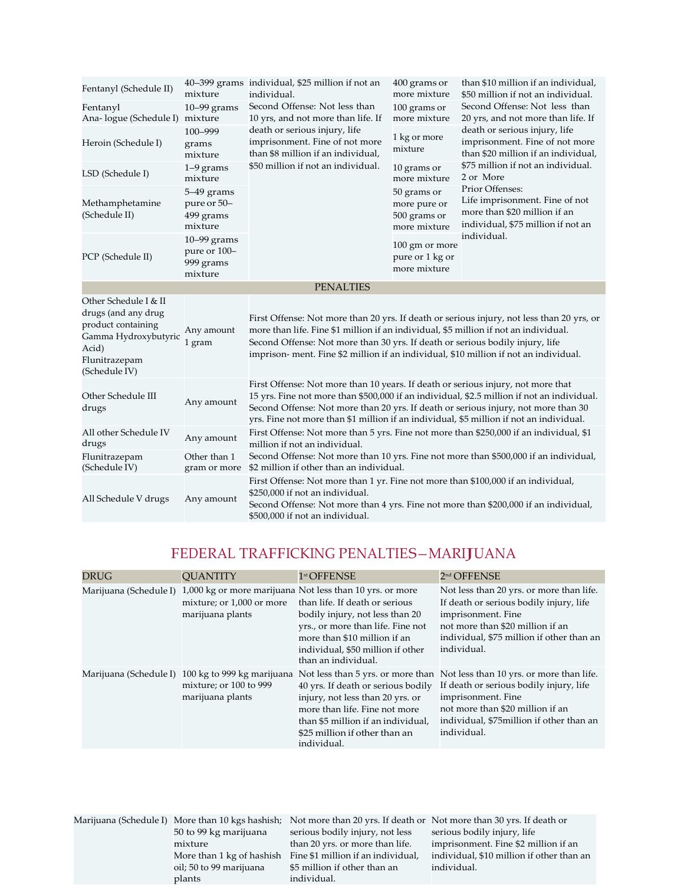| Fentanyl (Schedule II)                                                                                                                | mixture                                               | 40–399 grams individual, \$25 million if not an<br>individual.                                                                                                                                                                                                                                                                                                  | 400 grams or<br>more mixture                                | than \$10 million if an individual,<br>\$50 million if not an individual.                                                                                                                                                                                                            |
|---------------------------------------------------------------------------------------------------------------------------------------|-------------------------------------------------------|-----------------------------------------------------------------------------------------------------------------------------------------------------------------------------------------------------------------------------------------------------------------------------------------------------------------------------------------------------------------|-------------------------------------------------------------|--------------------------------------------------------------------------------------------------------------------------------------------------------------------------------------------------------------------------------------------------------------------------------------|
| Fentanyl<br>Ana-logue (Schedule I) mixture                                                                                            | $10 - 99$ grams                                       | Second Offense: Not less than<br>10 yrs, and not more than life. If                                                                                                                                                                                                                                                                                             | 100 grams or<br>more mixture                                | Second Offense: Not less than<br>20 yrs, and not more than life. If                                                                                                                                                                                                                  |
| Heroin (Schedule I)                                                                                                                   | 100-999<br>grams<br>mixture                           | death or serious injury, life<br>imprisonment. Fine of not more<br>than \$8 million if an individual,                                                                                                                                                                                                                                                           | 1 kg or more<br>mixture                                     | death or serious injury, life<br>imprisonment. Fine of not more<br>than \$20 million if an individual,<br>\$75 million if not an individual.<br>2 or More<br>Prior Offenses:<br>Life imprisonment. Fine of not<br>more than \$20 million if an<br>individual, \$75 million if not an |
| LSD (Schedule I)                                                                                                                      | $1-9$ grams<br>mixture                                | \$50 million if not an individual.                                                                                                                                                                                                                                                                                                                              | 10 grams or<br>more mixture                                 |                                                                                                                                                                                                                                                                                      |
| Methamphetamine<br>(Schedule II)                                                                                                      | $5-49$ grams<br>pure or 50-<br>499 grams<br>mixture   |                                                                                                                                                                                                                                                                                                                                                                 | 50 grams or<br>more pure or<br>500 grams or<br>more mixture |                                                                                                                                                                                                                                                                                      |
| PCP (Schedule II)                                                                                                                     | $10-99$ grams<br>pure or 100-<br>999 grams<br>mixture |                                                                                                                                                                                                                                                                                                                                                                 | 100 gm or more<br>pure or 1 kg or<br>more mixture           | individual.                                                                                                                                                                                                                                                                          |
|                                                                                                                                       |                                                       | <b>PENALTIES</b>                                                                                                                                                                                                                                                                                                                                                |                                                             |                                                                                                                                                                                                                                                                                      |
| Other Schedule I & II<br>drugs (and any drug<br>product containing<br>Gamma Hydroxybutyric<br>Acid)<br>Flunitrazepam<br>(Schedule IV) | Any amount<br>1 gram                                  | more than life. Fine \$1 million if an individual, \$5 million if not an individual.<br>Second Offense: Not more than 30 yrs. If death or serious bodily injury, life<br>imprison- ment. Fine \$2 million if an individual, \$10 million if not an individual.                                                                                                  |                                                             | First Offense: Not more than 20 yrs. If death or serious injury, not less than 20 yrs, or                                                                                                                                                                                            |
| Other Schedule III<br>drugs                                                                                                           | Any amount                                            | First Offense: Not more than 10 years. If death or serious injury, not more that<br>15 yrs. Fine not more than \$500,000 if an individual, \$2.5 million if not an individual.<br>Second Offense: Not more than 20 yrs. If death or serious injury, not more than 30<br>yrs. Fine not more than \$1 million if an individual, \$5 million if not an individual. |                                                             |                                                                                                                                                                                                                                                                                      |
| All other Schedule IV<br>drugs                                                                                                        | Any amount                                            | First Offense: Not more than 5 yrs. Fine not more than \$250,000 if an individual, \$1<br>million if not an individual.                                                                                                                                                                                                                                         |                                                             |                                                                                                                                                                                                                                                                                      |
| Flunitrazepam<br>(Schedule IV)                                                                                                        | Other than 1<br>gram or more                          | Second Offense: Not more than 10 yrs. Fine not more than \$500,000 if an individual,<br>\$2 million if other than an individual.                                                                                                                                                                                                                                |                                                             |                                                                                                                                                                                                                                                                                      |
| All Schedule V drugs                                                                                                                  | Any amount                                            | First Offense: Not more than 1 yr. Fine not more than \$100,000 if an individual,<br>\$250,000 if not an individual.<br>Second Offense: Not more than 4 yrs. Fine not more than \$200,000 if an individual,<br>\$500,000 if not an individual.                                                                                                                  |                                                             |                                                                                                                                                                                                                                                                                      |

# FEDERAL TRAFFICKING PENALTIES—MARIJUANA

| <b>DRUG</b>            | <b>OUANTITY</b>                                                          | 1st OFFENSE                                                                                                                                                                                                                                                                           | 2 <sup>nd</sup> OFFENSE                                                                                                                                                                                                                     |
|------------------------|--------------------------------------------------------------------------|---------------------------------------------------------------------------------------------------------------------------------------------------------------------------------------------------------------------------------------------------------------------------------------|---------------------------------------------------------------------------------------------------------------------------------------------------------------------------------------------------------------------------------------------|
|                        | mixture; or 1,000 or more<br>marijuana plants                            | Marijuana (Schedule I) 1,000 kg or more marijuana Not less than 10 yrs. or more<br>than life. If death or serious<br>bodily injury, not less than 20<br>yrs., or more than life. Fine not<br>more than \$10 million if an<br>individual, \$50 million if other<br>than an individual. | Not less than 20 yrs. or more than life.<br>If death or serious bodily injury, life<br>imprisonment. Fine<br>not more than \$20 million if an<br>individual, \$75 million if other than an<br>individual.                                   |
| Marijuana (Schedule I) | 100 kg to 999 kg marijuana<br>mixture; or 100 to 999<br>marijuana plants | 40 yrs. If death or serious bodily<br>injury, not less than 20 yrs. or<br>more than life. Fine not more<br>than \$5 million if an individual,<br>\$25 million if other than an<br>individual.                                                                                         | Not less than 5 yrs. or more than Not less than 10 yrs. or more than life.<br>If death or serious bodily injury, life<br>imprisonment. Fine<br>not more than \$20 million if an<br>individual, \$75 million if other than an<br>individual. |

|                         | Marijuana (Schedule I) More than 10 kgs hashish; Not more than 20 yrs. If death or Not more than 30 yrs. If death or |                                           |
|-------------------------|----------------------------------------------------------------------------------------------------------------------|-------------------------------------------|
| 50 to 99 kg marijuana   | serious bodily injury, not less                                                                                      | serious bodily injury, life               |
| mixture                 | than 20 yrs. or more than life.                                                                                      | imprisonment. Fine \$2 million if an      |
|                         | More than 1 kg of hashish Fine \$1 million if an individual,                                                         | individual, \$10 million if other than an |
| oil; 50 to 99 marijuana | \$5 million if other than an                                                                                         | individual.                               |
| plants                  | individual.                                                                                                          |                                           |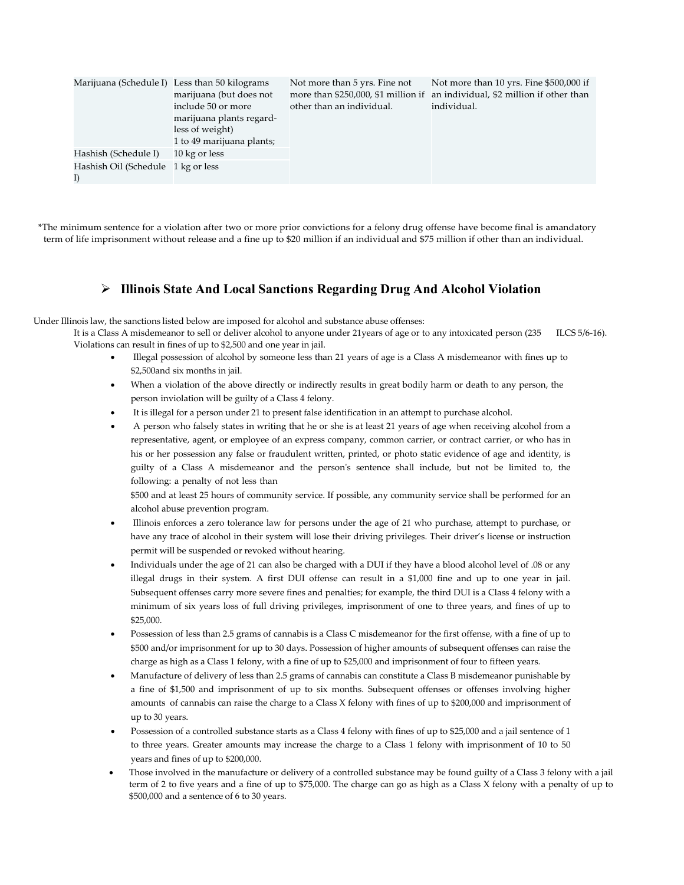| Marijuana (Schedule I)                   | Less than 50 kilograms<br>marijuana (but does not<br>include 50 or more<br>marijuana plants regard-<br>less of weight)<br>1 to 49 marijuana plants; | Not more than 5 yrs. Fine not<br>other than an individual. | Not more than 10 yrs. Fine \$500,000 if<br>more than \$250,000, \$1 million if an individual, \$2 million if other than<br>individual. |
|------------------------------------------|-----------------------------------------------------------------------------------------------------------------------------------------------------|------------------------------------------------------------|----------------------------------------------------------------------------------------------------------------------------------------|
| Hashish (Schedule I)                     | 10 kg or less                                                                                                                                       |                                                            |                                                                                                                                        |
| Hashish Oil (Schedule 1 kg or less<br>I) |                                                                                                                                                     |                                                            |                                                                                                                                        |

\*The minimum sentence for a violation after two or more prior convictions for a felony drug offense have become final is amandatory term of life imprisonment without release and a fine up to \$20 million if an individual and \$75 million if other than an individual.

## **Illinois State And Local Sanctions Regarding Drug And Alcohol Violation**

Under Illinois law, the sanctions listed below are imposed for alcohol and substance abuse offenses:

It is a Class A misdemeanor to sell or deliver alcohol to anyone under 21years of age or to any intoxicated person (235 ILCS 5/6-16). Violations can result in fines of up to \$2,500 and one year in jail.

- Illegal possession of alcohol by someone less than 21 years of age is a Class A misdemeanor with fines up to \$2,500and six months in jail.
- When a violation of the above directly or indirectly results in great bodily harm or death to any person, the person inviolation will be guilty of a Class 4 felony.
- It is illegal for a person under 21 to present false identification in an attempt to purchase alcohol.
- A person who falsely states in writing that he or she is at least 21 years of age when receiving alcohol from a representative, agent, or employee of an express company, common carrier, or contract carrier, or who has in his or her possession any false or fraudulent written, printed, or photo static evidence of age and identity, is guilty of a Class A misdemeanor and the person's sentence shall include, but not be limited to, the following: a penalty of not less than

\$500 and at least 25 hours of community service. If possible, any community service shall be performed for an alcohol abuse prevention program.

- Illinois enforces a zero tolerance law for persons under the age of 21 who purchase, attempt to purchase, or have any trace of alcohol in their system will lose their driving privileges. Their driver's license or instruction permit will be suspended or revoked without hearing.
- Individuals under the age of 21 can also be charged with a DUI if they have a blood alcohol level of .08 or any illegal drugs in their system. A first DUI offense can result in a \$1,000 fine and up to one year in jail. Subsequent offenses carry more severe fines and penalties; for example, the third DUI is a Class 4 felony with a minimum of six years loss of full driving privileges, imprisonment of one to three years, and fines of up to \$25,000.
- Possession of less than 2.5 grams of cannabis is a Class C misdemeanor for the first offense, with a fine of up to \$500 and/or imprisonment for up to 30 days. Possession of higher amounts of subsequent offenses can raise the charge as high as a Class 1 felony, with a fine of up to \$25,000 and imprisonment of four to fifteen years.
- Manufacture of delivery of less than 2.5 grams of cannabis can constitute a Class B misdemeanor punishable by a fine of \$1,500 and imprisonment of up to six months. Subsequent offenses or offenses involving higher amounts of cannabis can raise the charge to a Class X felony with fines of up to \$200,000 and imprisonment of up to 30 years.
- Possession of a controlled substance starts as a Class 4 felony with fines of up to \$25,000 and a jail sentence of 1 to three years. Greater amounts may increase the charge to a Class 1 felony with imprisonment of 10 to 50 years and fines of up to \$200,000.
- Those involved in the manufacture or delivery of a controlled substance may be found guilty of a Class 3 felony with a jail term of 2 to five years and a fine of up to \$75,000. The charge can go as high as a Class X felony with a penalty of up to \$500,000 and a sentence of 6 to 30 years.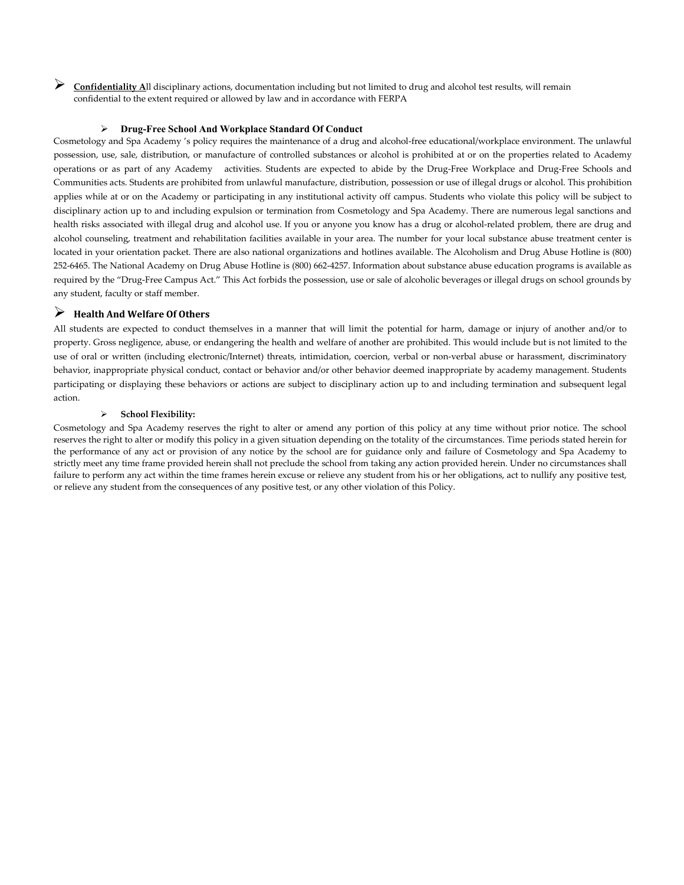**Confidentiality <sup>A</sup>**ll disciplinary actions, documentation including but not limited to drug and alcohol test results, will remain confidential to the extent required or allowed by law and in accordance with FERPA

#### **Drug-Free School And Workplace Standard Of Conduct**

Cosmetology and Spa Academy 's policy requires the maintenance of a drug and alcohol-free educational/workplace environment. The unlawful possession, use, sale, distribution, or manufacture of controlled substances or alcohol is prohibited at or on the properties related to Academy operations or as part of any Academy activities. Students are expected to abide by the Drug-Free Workplace and Drug-Free Schools and Communities acts. Students are prohibited from unlawful manufacture, distribution, possession or use of illegal drugs or alcohol. This prohibition applies while at or on the Academy or participating in any institutional activity off campus. Students who violate this policy will be subject to disciplinary action up to and including expulsion or termination from Cosmetology and Spa Academy. There are numerous legal sanctions and health risks associated with illegal drug and alcohol use. If you or anyone you know has a drug or alcohol-related problem, there are drug and alcohol counseling, treatment and rehabilitation facilities available in your area. The number for your local substance abuse treatment center is located in your orientation packet. There are also national organizations and hotlines available. The Alcoholism and Drug Abuse Hotline is (800) 252-6465. The National Academy on Drug Abuse Hotline is (800) 662-4257. Information about substance abuse education programs is available as required by the "Drug-Free Campus Act." This Act forbids the possession, use or sale of alcoholic beverages or illegal drugs on school grounds by any student, faculty or staff member.

## **Health And Welfare Of Others**

All students are expected to conduct themselves in a manner that will limit the potential for harm, damage or injury of another and/or to property. Gross negligence, abuse, or endangering the health and welfare of another are prohibited. This would include but is not limited to the use of oral or written (including electronic/Internet) threats, intimidation, coercion, verbal or non-verbal abuse or harassment, discriminatory behavior, inappropriate physical conduct, contact or behavior and/or other behavior deemed inappropriate by academy management. Students participating or displaying these behaviors or actions are subject to disciplinary action up to and including termination and subsequent legal action.

#### **School Flexibility:**

Cosmetology and Spa Academy reserves the right to alter or amend any portion of this policy at any time without prior notice. The school reserves the right to alter or modify this policy in a given situation depending on the totality of the circumstances. Time periods stated herein for the performance of any act or provision of any notice by the school are for guidance only and failure of Cosmetology and Spa Academy to strictly meet any time frame provided herein shall not preclude the school from taking any action provided herein. Under no circumstances shall failure to perform any act within the time frames herein excuse or relieve any student from his or her obligations, act to nullify any positive test, or relieve any student from the consequences of any positive test, or any other violation of this Policy.